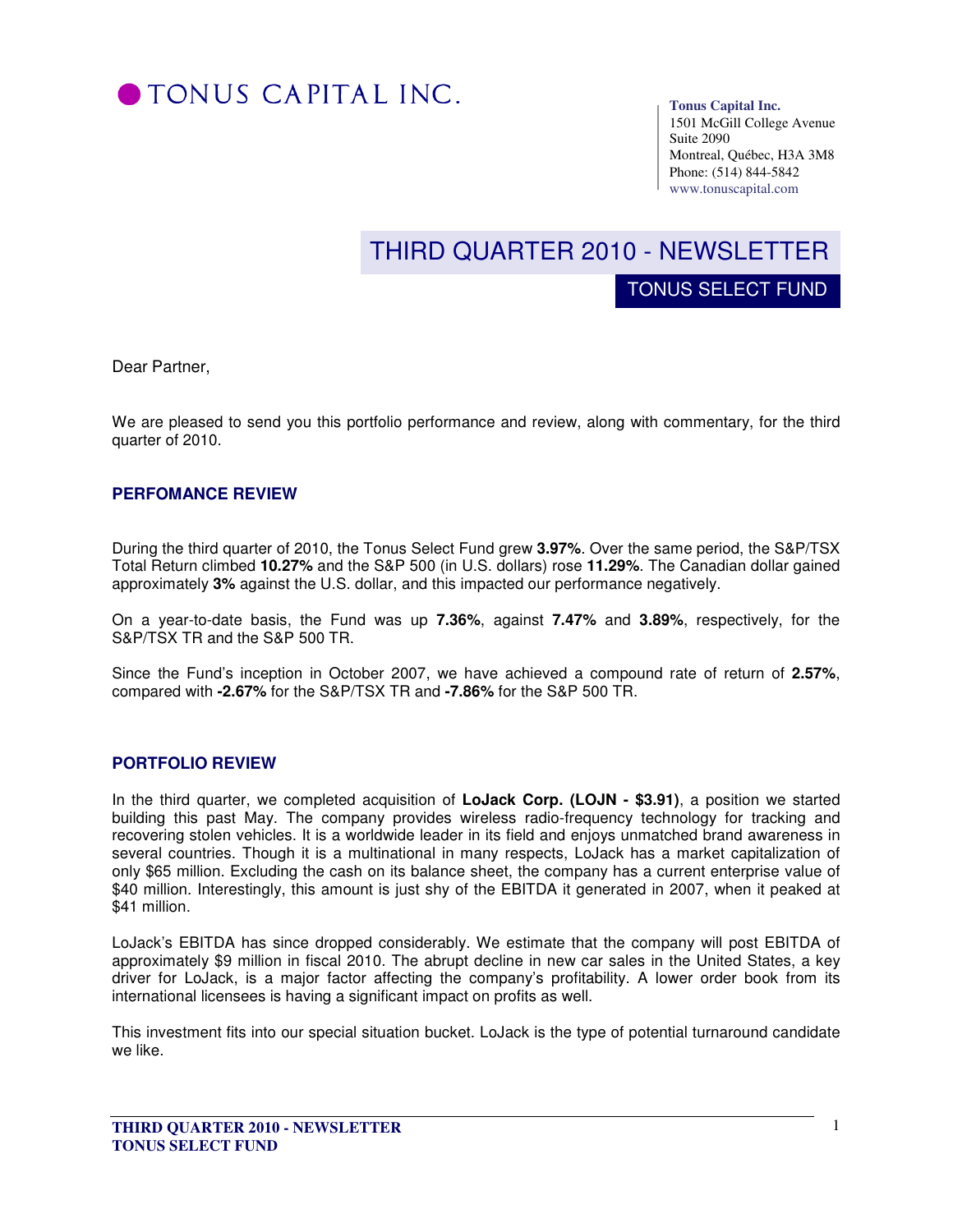

#### **Tonus Capital Inc.**

TONUS SELECT FUND

1501 McGill College Avenue Suite 2090 Montreal, Québec, H3A 3M8 Phone: (514) 844-5842 www.tonuscapital.com

# THIRD QUARTER 2010 - NEWSLETTER

Dear Partner,

We are pleased to send you this portfolio performance and review, along with commentary, for the third quarter of 2010.

### **PERFOMANCE REVIEW**

During the third quarter of 2010, the Tonus Select Fund grew **3.97%**. Over the same period, the S&P/TSX Total Return climbed **10.27%** and the S&P 500 (in U.S. dollars) rose **11.29%**. The Canadian dollar gained approximately **3%** against the U.S. dollar, and this impacted our performance negatively.

On a year-to-date basis, the Fund was up **7.36%**, against **7.47%** and **3.89%**, respectively, for the S&P/TSX TR and the S&P 500 TR.

Since the Fund's inception in October 2007, we have achieved a compound rate of return of **2.57%**, compared with **-2.67%** for the S&P/TSX TR and **-7.86%** for the S&P 500 TR.

### **PORTFOLIO REVIEW**

In the third quarter, we completed acquisition of **LoJack Corp. (LOJN - \$3.91)**, a position we started building this past May. The company provides wireless radio-frequency technology for tracking and recovering stolen vehicles. It is a worldwide leader in its field and enjoys unmatched brand awareness in several countries. Though it is a multinational in many respects, LoJack has a market capitalization of only \$65 million. Excluding the cash on its balance sheet, the company has a current enterprise value of \$40 million. Interestingly, this amount is just shy of the EBITDA it generated in 2007, when it peaked at \$41 million.

LoJack's EBITDA has since dropped considerably. We estimate that the company will post EBITDA of approximately \$9 million in fiscal 2010. The abrupt decline in new car sales in the United States, a key driver for LoJack, is a major factor affecting the company's profitability. A lower order book from its international licensees is having a significant impact on profits as well.

This investment fits into our special situation bucket. LoJack is the type of potential turnaround candidate we like.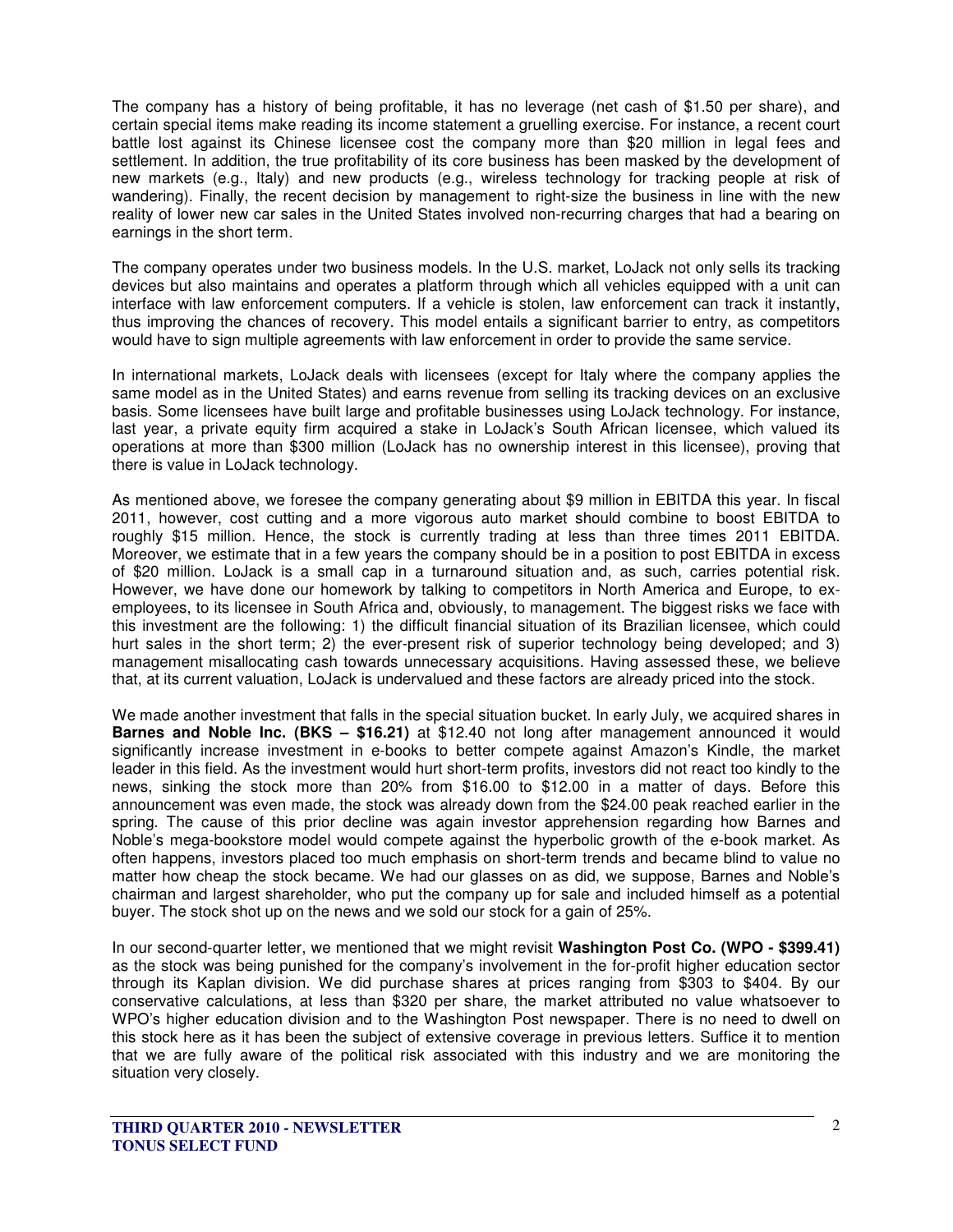The company has a history of being profitable, it has no leverage (net cash of \$1.50 per share), and certain special items make reading its income statement a gruelling exercise. For instance, a recent court battle lost against its Chinese licensee cost the company more than \$20 million in legal fees and settlement. In addition, the true profitability of its core business has been masked by the development of new markets (e.g., Italy) and new products (e.g., wireless technology for tracking people at risk of wandering). Finally, the recent decision by management to right-size the business in line with the new reality of lower new car sales in the United States involved non-recurring charges that had a bearing on earnings in the short term.

The company operates under two business models. In the U.S. market, LoJack not only sells its tracking devices but also maintains and operates a platform through which all vehicles equipped with a unit can interface with law enforcement computers. If a vehicle is stolen, law enforcement can track it instantly, thus improving the chances of recovery. This model entails a significant barrier to entry, as competitors would have to sign multiple agreements with law enforcement in order to provide the same service.

In international markets, LoJack deals with licensees (except for Italy where the company applies the same model as in the United States) and earns revenue from selling its tracking devices on an exclusive basis. Some licensees have built large and profitable businesses using LoJack technology. For instance, last year, a private equity firm acquired a stake in LoJack's South African licensee, which valued its operations at more than \$300 million (LoJack has no ownership interest in this licensee), proving that there is value in LoJack technology.

As mentioned above, we foresee the company generating about \$9 million in EBITDA this year. In fiscal 2011, however, cost cutting and a more vigorous auto market should combine to boost EBITDA to roughly \$15 million. Hence, the stock is currently trading at less than three times 2011 EBITDA. Moreover, we estimate that in a few years the company should be in a position to post EBITDA in excess of \$20 million. LoJack is a small cap in a turnaround situation and, as such, carries potential risk. However, we have done our homework by talking to competitors in North America and Europe, to exemployees, to its licensee in South Africa and, obviously, to management. The biggest risks we face with this investment are the following: 1) the difficult financial situation of its Brazilian licensee, which could hurt sales in the short term; 2) the ever-present risk of superior technology being developed; and 3) management misallocating cash towards unnecessary acquisitions. Having assessed these, we believe that, at its current valuation, LoJack is undervalued and these factors are already priced into the stock.

We made another investment that falls in the special situation bucket. In early July, we acquired shares in **Barnes and Noble Inc. (BKS – \$16.21)** at \$12.40 not long after management announced it would significantly increase investment in e-books to better compete against Amazon's Kindle, the market leader in this field. As the investment would hurt short-term profits, investors did not react too kindly to the news, sinking the stock more than 20% from \$16.00 to \$12.00 in a matter of days. Before this announcement was even made, the stock was already down from the \$24.00 peak reached earlier in the spring. The cause of this prior decline was again investor apprehension regarding how Barnes and Noble's mega-bookstore model would compete against the hyperbolic growth of the e-book market. As often happens, investors placed too much emphasis on short-term trends and became blind to value no matter how cheap the stock became. We had our glasses on as did, we suppose, Barnes and Noble's chairman and largest shareholder, who put the company up for sale and included himself as a potential buyer. The stock shot up on the news and we sold our stock for a gain of 25%.

In our second-quarter letter, we mentioned that we might revisit **Washington Post Co. (WPO - \$399.41)**  as the stock was being punished for the company's involvement in the for-profit higher education sector through its Kaplan division. We did purchase shares at prices ranging from \$303 to \$404. By our conservative calculations, at less than \$320 per share, the market attributed no value whatsoever to WPO's higher education division and to the Washington Post newspaper. There is no need to dwell on this stock here as it has been the subject of extensive coverage in previous letters. Suffice it to mention that we are fully aware of the political risk associated with this industry and we are monitoring the situation very closely.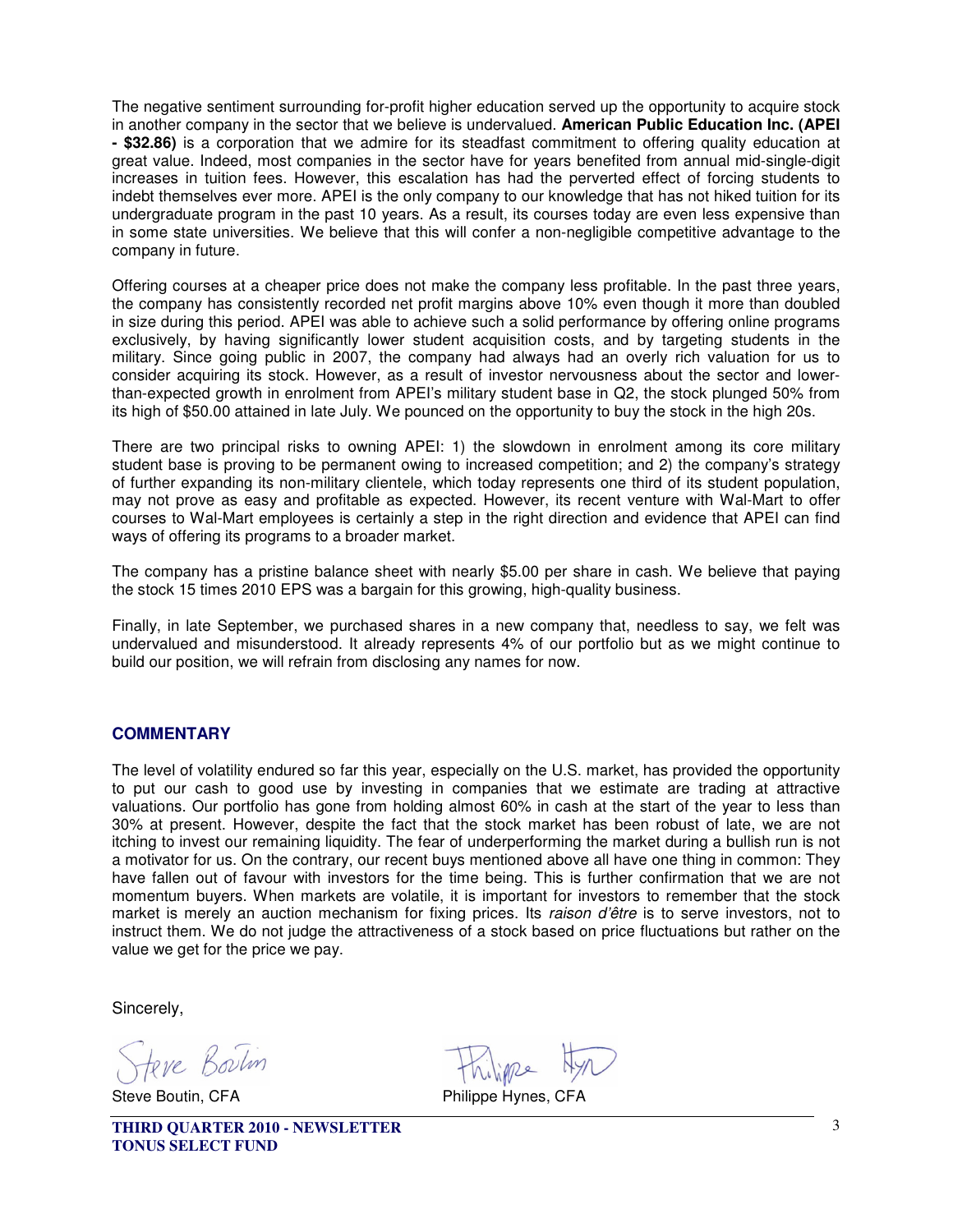The negative sentiment surrounding for-profit higher education served up the opportunity to acquire stock in another company in the sector that we believe is undervalued. **American Public Education Inc. (APEI - \$32.86)** is a corporation that we admire for its steadfast commitment to offering quality education at great value. Indeed, most companies in the sector have for years benefited from annual mid-single-digit increases in tuition fees. However, this escalation has had the perverted effect of forcing students to indebt themselves ever more. APEI is the only company to our knowledge that has not hiked tuition for its undergraduate program in the past 10 years. As a result, its courses today are even less expensive than in some state universities. We believe that this will confer a non-negligible competitive advantage to the company in future.

Offering courses at a cheaper price does not make the company less profitable. In the past three years, the company has consistently recorded net profit margins above 10% even though it more than doubled in size during this period. APEI was able to achieve such a solid performance by offering online programs exclusively, by having significantly lower student acquisition costs, and by targeting students in the military. Since going public in 2007, the company had always had an overly rich valuation for us to consider acquiring its stock. However, as a result of investor nervousness about the sector and lowerthan-expected growth in enrolment from APEI's military student base in Q2, the stock plunged 50% from its high of \$50.00 attained in late July. We pounced on the opportunity to buy the stock in the high 20s.

There are two principal risks to owning APEI: 1) the slowdown in enrolment among its core military student base is proving to be permanent owing to increased competition; and 2) the company's strategy of further expanding its non-military clientele, which today represents one third of its student population, may not prove as easy and profitable as expected. However, its recent venture with Wal-Mart to offer courses to Wal-Mart employees is certainly a step in the right direction and evidence that APEI can find ways of offering its programs to a broader market.

The company has a pristine balance sheet with nearly \$5.00 per share in cash. We believe that paying the stock 15 times 2010 EPS was a bargain for this growing, high-quality business.

Finally, in late September, we purchased shares in a new company that, needless to say, we felt was undervalued and misunderstood. It already represents 4% of our portfolio but as we might continue to build our position, we will refrain from disclosing any names for now.

## **COMMENTARY**

The level of volatility endured so far this year, especially on the U.S. market, has provided the opportunity to put our cash to good use by investing in companies that we estimate are trading at attractive valuations. Our portfolio has gone from holding almost 60% in cash at the start of the year to less than 30% at present. However, despite the fact that the stock market has been robust of late, we are not itching to invest our remaining liquidity. The fear of underperforming the market during a bullish run is not a motivator for us. On the contrary, our recent buys mentioned above all have one thing in common: They have fallen out of favour with investors for the time being. This is further confirmation that we are not momentum buyers. When markets are volatile, it is important for investors to remember that the stock market is merely an auction mechanism for fixing prices. Its raison d'être is to serve investors, not to instruct them. We do not judge the attractiveness of a stock based on price fluctuations but rather on the value we get for the price we pay.

Sincerely,

tere Boulin

Steve Boutin, CFA **Philippe Hynes, CFA** 

**THIRD QUARTER 2010 - NEWSLETTER TONUS SELECT FUND**